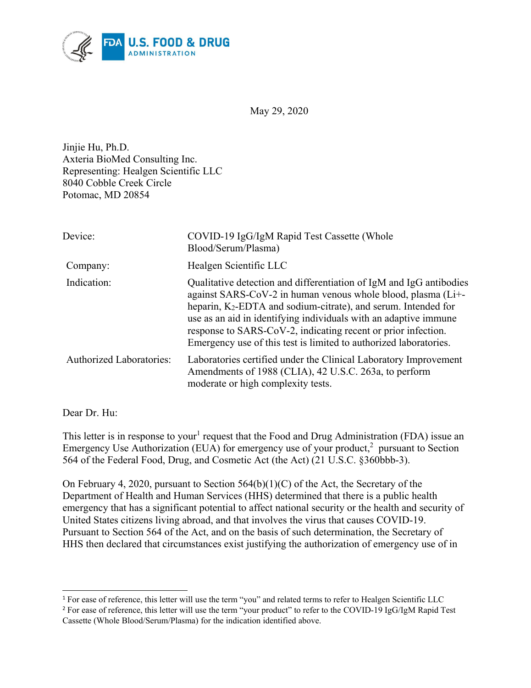

May 29, 2020

Jinjie Hu, Ph.D. Axteria BioMed Consulting Inc. Representing: Healgen Scientific LLC 8040 Cobble Creek Circle Potomac, MD 20854

| Device:                         | COVID-19 IgG/IgM Rapid Test Cassette (Whole<br>Blood/Serum/Plasma)                                                                                                                                                                                                                                                                                                                                                          |
|---------------------------------|-----------------------------------------------------------------------------------------------------------------------------------------------------------------------------------------------------------------------------------------------------------------------------------------------------------------------------------------------------------------------------------------------------------------------------|
| Company:                        | Healgen Scientific LLC                                                                                                                                                                                                                                                                                                                                                                                                      |
| Indication:                     | Qualitative detection and differentiation of IgM and IgG antibodies<br>against SARS-CoV-2 in human venous whole blood, plasma (Li+-<br>heparin, K <sub>2</sub> -EDTA and sodium-citrate), and serum. Intended for<br>use as an aid in identifying individuals with an adaptive immune<br>response to SARS-CoV-2, indicating recent or prior infection.<br>Emergency use of this test is limited to authorized laboratories. |
| <b>Authorized Laboratories:</b> | Laboratories certified under the Clinical Laboratory Improvement<br>Amendments of 1988 (CLIA), 42 U.S.C. 263a, to perform<br>moderate or high complexity tests.                                                                                                                                                                                                                                                             |

Dear Dr. Hu:

 $\overline{a}$ 

This letter is in response to your<sup>[1](#page-0-0)</sup> request that the Food and Drug Administration (FDA) issue an Emergency Use Authorization (EUA) for emergency use of your product, $^2$  $^2$  pursuant to Section 564 of the Federal Food, Drug, and Cosmetic Act (the Act) (21 U.S.C. §360bbb-3).

On February 4, 2020, pursuant to Section 564(b)(1)(C) of the Act, the Secretary of the Department of Health and Human Services (HHS) determined that there is a public health emergency that has a significant potential to affect national security or the health and security of United States citizens living abroad, and that involves the virus that causes COVID-19. Pursuant to Section 564 of the Act, and on the basis of such determination, the Secretary of HHS then declared that circumstances exist justifying the authorization of emergency use of in

<span id="page-0-0"></span><sup>&</sup>lt;sup>1</sup> For ease of reference, this letter will use the term "you" and related terms to refer to Healgen Scientific LLC

<span id="page-0-1"></span><sup>&</sup>lt;sup>2</sup> For ease of reference, this letter will use the term "your product" to refer to the COVID-19 IgG/IgM Rapid Test Cassette (Whole Blood/Serum/Plasma) for the indication identified above.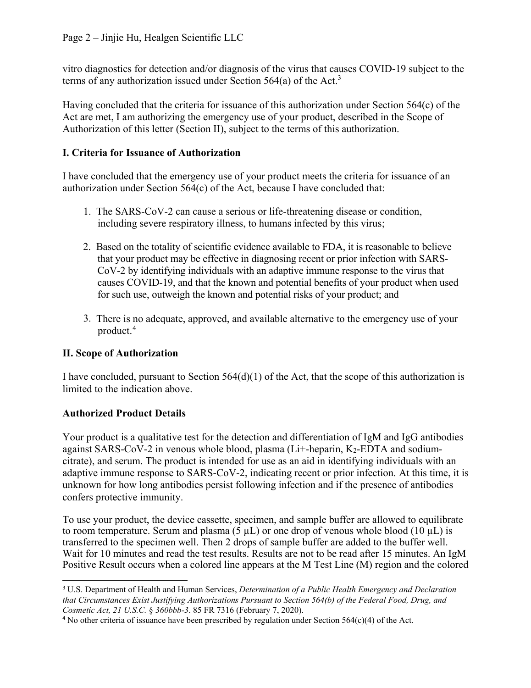vitro diagnostics for detection and/or diagnosis of the virus that causes COVID-19 subject to the terms of any authorization issued under Section 564(a) of the Act.<sup>[3](#page-1-0)</sup>

Having concluded that the criteria for issuance of this authorization under Section 564(c) of the Act are met, I am authorizing the emergency use of your product, described in the Scope of Authorization of this letter (Section II), subject to the terms of this authorization.

## **I. Criteria for Issuance of Authorization**

I have concluded that the emergency use of your product meets the criteria for issuance of an authorization under Section 564(c) of the Act, because I have concluded that:

- 1. The SARS-CoV-2 can cause a serious or life-threatening disease or condition, including severe respiratory illness, to humans infected by this virus;
- 2. Based on the totality of scientific evidence available to FDA, it is reasonable to believe that your product may be effective in diagnosing recent or prior infection with SARS-CoV-2 by identifying individuals with an adaptive immune response to the virus that causes COVID-19, and that the known and potential benefits of your product when used for such use, outweigh the known and potential risks of your product; and
- 3. There is no adequate, approved, and available alternative to the emergency use of your product. [4](#page-1-1)

# **II. Scope of Authorization**

I have concluded, pursuant to Section 564(d)(1) of the Act, that the scope of this authorization is limited to the indication above.

# **Authorized Product Details**

 $\overline{a}$ 

Your product is a qualitative test for the detection and differentiation of IgM and IgG antibodies against SARS-CoV-2 in venous whole blood, plasma (Li+-heparin, K2-EDTA and sodiumcitrate), and serum. The product is intended for use as an aid in identifying individuals with an adaptive immune response to SARS-CoV-2, indicating recent or prior infection. At this time, it is unknown for how long antibodies persist following infection and if the presence of antibodies confers protective immunity.

To use your product, the device cassette, specimen, and sample buffer are allowed to equilibrate to room temperature. Serum and plasma (5  $\mu$ L) or one drop of venous whole blood (10  $\mu$ L) is transferred to the specimen well. Then 2 drops of sample buffer are added to the buffer well. Wait for 10 minutes and read the test results. Results are not to be read after 15 minutes. An IgM Positive Result occurs when a colored line appears at the M Test Line (M) region and the colored

<span id="page-1-0"></span><sup>3</sup> U.S. Department of Health and Human Services, *Determination of a Public Health Emergency and Declaration that Circumstances Exist Justifying Authorizations Pursuant to Section 564(b) of the Federal Food, Drug, and Cosmetic Act, 21 U.S.C.* § *360bbb-3*. 85 FR 7316 (February 7, 2020).

<span id="page-1-1"></span><sup>4</sup> No other criteria of issuance have been prescribed by regulation under Section 564(c)(4) of the Act.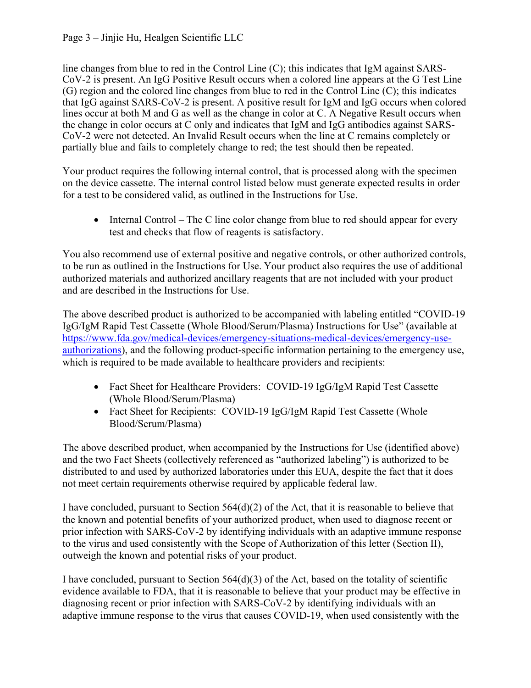### Page 3 – Jinjie Hu, Healgen Scientific LLC

line changes from blue to red in the Control Line (C); this indicates that IgM against SARS-CoV-2 is present. An IgG Positive Result occurs when a colored line appears at the G Test Line (G) region and the colored line changes from blue to red in the Control Line (C); this indicates that IgG against SARS-CoV-2 is present. A positive result for IgM and IgG occurs when colored lines occur at both M and G as well as the change in color at C. A Negative Result occurs when the change in color occurs at C only and indicates that IgM and IgG antibodies against SARS-CoV-2 were not detected. An Invalid Result occurs when the line at C remains completely or partially blue and fails to completely change to red; the test should then be repeated.

Your product requires the following internal control, that is processed along with the specimen on the device cassette. The internal control listed below must generate expected results in order for a test to be considered valid, as outlined in the Instructions for Use.

• Internal Control – The C line color change from blue to red should appear for every test and checks that flow of reagents is satisfactory.

You also recommend use of external positive and negative controls, or other authorized controls, to be run as outlined in the Instructions for Use. Your product also requires the use of additional authorized materials and authorized ancillary reagents that are not included with your product and are described in the Instructions for Use.

The above described product is authorized to be accompanied with labeling entitled "COVID-19 IgG/IgM Rapid Test Cassette (Whole Blood/Serum/Plasma) Instructions for Use" (available at [https://www.fda.gov/medical-devices/emergency-situations-medical-devices/emergency-use](https://www.fda.gov/medical-devices/emergency-situations-medical-devices/emergency-use-authorizations)[authorizations\)](https://www.fda.gov/medical-devices/emergency-situations-medical-devices/emergency-use-authorizations), and the following product-specific information pertaining to the emergency use, which is required to be made available to healthcare providers and recipients:

- Fact Sheet for Healthcare Providers: COVID-19 IgG/IgM Rapid Test Cassette (Whole Blood/Serum/Plasma)
- Fact Sheet for Recipients: COVID-19 IgG/IgM Rapid Test Cassette (Whole Blood/Serum/Plasma)

The above described product, when accompanied by the Instructions for Use (identified above) and the two Fact Sheets (collectively referenced as "authorized labeling") is authorized to be distributed to and used by authorized laboratories under this EUA, despite the fact that it does not meet certain requirements otherwise required by applicable federal law.

I have concluded, pursuant to Section 564(d)(2) of the Act, that it is reasonable to believe that the known and potential benefits of your authorized product, when used to diagnose recent or prior infection with SARS-CoV-2 by identifying individuals with an adaptive immune response to the virus and used consistently with the Scope of Authorization of this letter (Section II), outweigh the known and potential risks of your product.

I have concluded, pursuant to Section  $564(d)(3)$  of the Act, based on the totality of scientific evidence available to FDA, that it is reasonable to believe that your product may be effective in diagnosing recent or prior infection with SARS-CoV-2 by identifying individuals with an adaptive immune response to the virus that causes COVID-19, when used consistently with the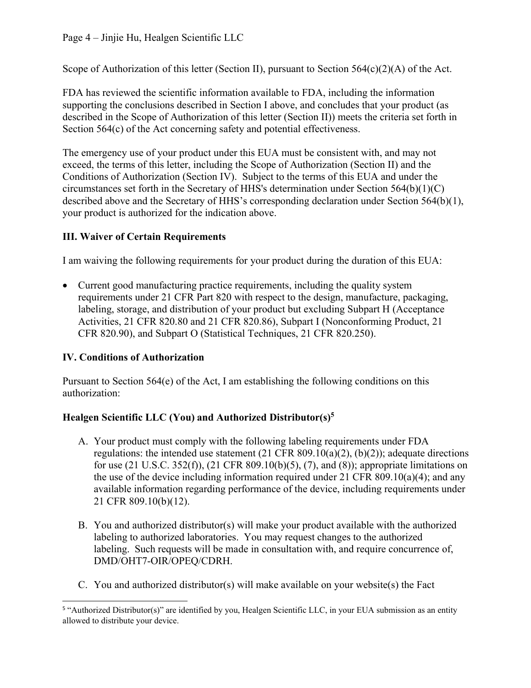Scope of Authorization of this letter (Section II), pursuant to Section  $564(c)(2)(A)$  of the Act.

FDA has reviewed the scientific information available to FDA, including the information supporting the conclusions described in Section I above, and concludes that your product (as described in the Scope of Authorization of this letter (Section II)) meets the criteria set forth in Section 564(c) of the Act concerning safety and potential effectiveness.

The emergency use of your product under this EUA must be consistent with, and may not exceed, the terms of this letter, including the Scope of Authorization (Section II) and the Conditions of Authorization (Section IV). Subject to the terms of this EUA and under the circumstances set forth in the Secretary of HHS's determination under Section 564(b)(1)(C) described above and the Secretary of HHS's corresponding declaration under Section 564(b)(1), your product is authorized for the indication above.

# **III. Waiver of Certain Requirements**

I am waiving the following requirements for your product during the duration of this EUA:

• Current good manufacturing practice requirements, including the quality system requirements under 21 CFR Part 820 with respect to the design, manufacture, packaging, labeling, storage, and distribution of your product but excluding Subpart H (Acceptance Activities, 21 CFR 820.80 and 21 CFR 820.86), Subpart I (Nonconforming Product, 21 CFR 820.90), and Subpart O (Statistical Techniques, 21 CFR 820.250).

# **IV. Conditions of Authorization**

Pursuant to Section 564(e) of the Act, I am establishing the following conditions on this authorization:

# **Healgen Scientific LLC (You) and Authorized Distributor(s)[5](#page-3-0)**

- A. Your product must comply with the following labeling requirements under FDA regulations: the intended use statement  $(21 \text{ CFR } 809.10(a)(2), (b)(2))$ ; adequate directions for use (21 U.S.C. 352(f)), (21 CFR 809.10(b)(5), (7), and (8)); appropriate limitations on the use of the device including information required under 21 CFR  $809.10(a)(4)$ ; and any available information regarding performance of the device, including requirements under 21 CFR 809.10(b)(12).
- B. You and authorized distributor(s) will make your product available with the authorized labeling to authorized laboratories. You may request changes to the authorized labeling. Such requests will be made in consultation with, and require concurrence of, DMD/OHT7-OIR/OPEQ/CDRH.
- C. You and authorized distributor(s) will make available on your website(s) the Fact

<span id="page-3-0"></span> 5 "Authorized Distributor(s)" are identified by you, Healgen Scientific LLC, in your EUA submission as an entity allowed to distribute your device.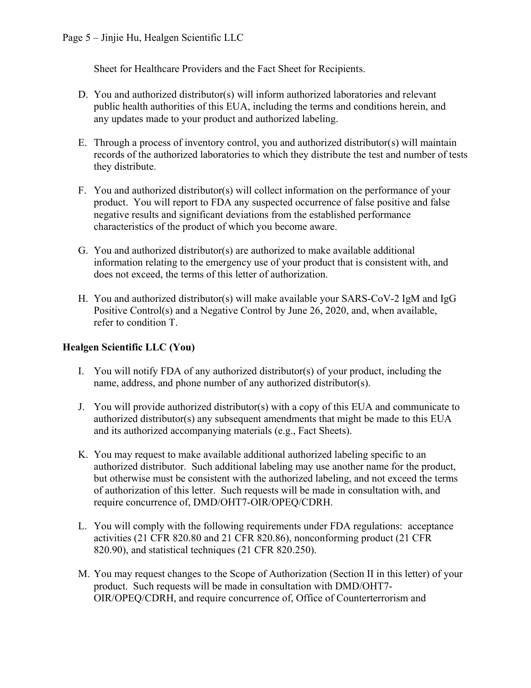Sheet for Healthcare Providers and the Fact Sheet for Recipients.

- D. You and authorized distributor(s) will inform authorized laboratories and relevant public health authorities of this EUA, including the terms and conditions herein, and any updates made to your product and authorized labeling.
- E. Through a process of inventory control, you and authorized distributor(s) will maintain records of the authorized laboratories to which they distribute the test and number of tests they distribute.
- F. You and authorized distributor(s) will collect information on the performance of your product. You will report to FDA any suspected occurrence of false positive and false negative results and significant deviations from the established performance characteristics of the product of which you become aware.
- G. You and authorized distributor(s) are authorized to make available additional information relating to the emergency use of your product that is consistent with, and does not exceed, the terms of this letter of authorization.
- H. You and authorized distributor(s) will make available your SARS-CoV-2 IgM and IgG Positive Control(s) and a Negative Control by June 26, 2020, and, when available, refer to condition T.

## **Healgen Scientific LLC (You)**

- I. You will notify FDA of any authorized distributor(s) of your product, including the name, address, and phone number of any authorized distributor(s).
- J. You will provide authorized distributor(s) with a copy of this EUA and communicate to authorized distributor(s) any subsequent amendments that might be made to this EUA and its authorized accompanying materials (e.g., Fact Sheets).
- K. You may request to make available additional authorized labeling specific to an authorized distributor. Such additional labeling may use another name for the product, but otherwise must be consistent with the authorized labeling, and not exceed the terms of authorization of this letter. Such requests will be made in consultation with, and require concurrence of, DMD/OHT7-OIR/OPEQ/CDRH.
- L. You will comply with the following requirements under FDA regulations: acceptance activities (21 CFR 820.80 and 21 CFR 820.86), nonconforming product (21 CFR 820.90), and statistical techniques (21 CFR 820.250).
- M. You may request changes to the Scope of Authorization (Section II in this letter) of your product. Such requests will be made in consultation with DMD/OHT7- OIR/OPEQ/CDRH, and require concurrence of, Office of Counterterrorism and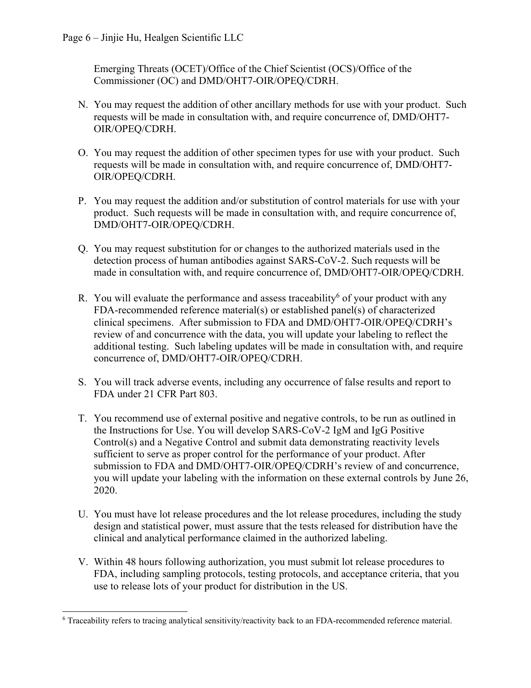Emerging Threats (OCET)/Office of the Chief Scientist (OCS)/Office of the Commissioner (OC) and DMD/OHT7-OIR/OPEQ/CDRH.

- N. You may request the addition of other ancillary methods for use with your product. Such requests will be made in consultation with, and require concurrence of, DMD/OHT7- OIR/OPEQ/CDRH.
- O. You may request the addition of other specimen types for use with your product. Such requests will be made in consultation with, and require concurrence of, DMD/OHT7- OIR/OPEQ/CDRH.
- P. You may request the addition and/or substitution of control materials for use with your product. Such requests will be made in consultation with, and require concurrence of, DMD/OHT7-OIR/OPEQ/CDRH.
- Q. You may request substitution for or changes to the authorized materials used in the detection process of human antibodies against SARS-CoV-2. Such requests will be made in consultation with, and require concurrence of, DMD/OHT7-OIR/OPEQ/CDRH.
- R. You will evaluate the performance and assess traceability<sup>[6](#page-5-0)</sup> of your product with any FDA-recommended reference material(s) or established panel(s) of characterized clinical specimens. After submission to FDA and DMD/OHT7-OIR/OPEQ/CDRH's review of and concurrence with the data, you will update your labeling to reflect the additional testing. Such labeling updates will be made in consultation with, and require concurrence of, DMD/OHT7-OIR/OPEQ/CDRH.
- S. You will track adverse events, including any occurrence of false results and report to FDA under 21 CFR Part 803.
- T. You recommend use of external positive and negative controls, to be run as outlined in the Instructions for Use. You will develop SARS-CoV-2 IgM and IgG Positive Control(s) and a Negative Control and submit data demonstrating reactivity levels sufficient to serve as proper control for the performance of your product. After submission to FDA and DMD/OHT7-OIR/OPEQ/CDRH's review of and concurrence, you will update your labeling with the information on these external controls by June 26, 2020.
- U. You must have lot release procedures and the lot release procedures, including the study design and statistical power, must assure that the tests released for distribution have the clinical and analytical performance claimed in the authorized labeling.
- V. Within 48 hours following authorization, you must submit lot release procedures to FDA, including sampling protocols, testing protocols, and acceptance criteria, that you use to release lots of your product for distribution in the US.

<span id="page-5-0"></span> $\overline{a}$ <sup>6</sup> Traceability refers to tracing analytical sensitivity/reactivity back to an FDA-recommended reference material.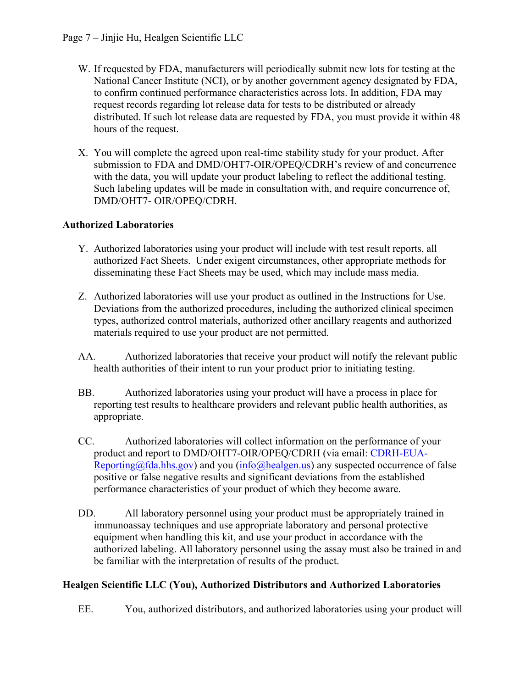- W. If requested by FDA, manufacturers will periodically submit new lots for testing at the National Cancer Institute (NCI), or by another government agency designated by FDA, to confirm continued performance characteristics across lots. In addition, FDA may request records regarding lot release data for tests to be distributed or already distributed. If such lot release data are requested by FDA, you must provide it within 48 hours of the request.
- X. You will complete the agreed upon real-time stability study for your product. After submission to FDA and DMD/OHT7-OIR/OPEQ/CDRH's review of and concurrence with the data, you will update your product labeling to reflect the additional testing. Such labeling updates will be made in consultation with, and require concurrence of, DMD/OHT7- OIR/OPEQ/CDRH.

### **Authorized Laboratories**

- Y. Authorized laboratories using your product will include with test result reports, all authorized Fact Sheets. Under exigent circumstances, other appropriate methods for disseminating these Fact Sheets may be used, which may include mass media.
- Z. Authorized laboratories will use your product as outlined in the Instructions for Use. Deviations from the authorized procedures, including the authorized clinical specimen types, authorized control materials, authorized other ancillary reagents and authorized materials required to use your product are not permitted.
- AA. Authorized laboratories that receive your product will notify the relevant public health authorities of their intent to run your product prior to initiating testing.
- BB. Authorized laboratories using your product will have a process in place for reporting test results to healthcare providers and relevant public health authorities, as appropriate.
- CC. Authorized laboratories will collect information on the performance of your product and report to DMD/OHT7-OIR/OPEQ/CDRH (via email: [CDRH-EUA-](mailto:CDRH-EUA-Reporting@fda.hhs.gov)[Reporting@fda.hhs.gov](mailto:CDRH-EUA-Reporting@fda.hhs.gov)) and you ([info@healgen.us\)](http://sharepoint.fda.gov/orgs/CDRH-IVD/Orgs/DMD/DMD_EUA/2020 Novel Coronavirus China/PEUA Tracking Table/nCOV Single Sheet One Pagers/EUA200056 Healgen Scientific/info@healgen.us) any suspected occurrence of false positive or false negative results and significant deviations from the established performance characteristics of your product of which they become aware.
- DD. All laboratory personnel using your product must be appropriately trained in immunoassay techniques and use appropriate laboratory and personal protective equipment when handling this kit, and use your product in accordance with the authorized labeling. All laboratory personnel using the assay must also be trained in and be familiar with the interpretation of results of the product.

### **Healgen Scientific LLC (You), Authorized Distributors and Authorized Laboratories**

EE. You, authorized distributors, and authorized laboratories using your product will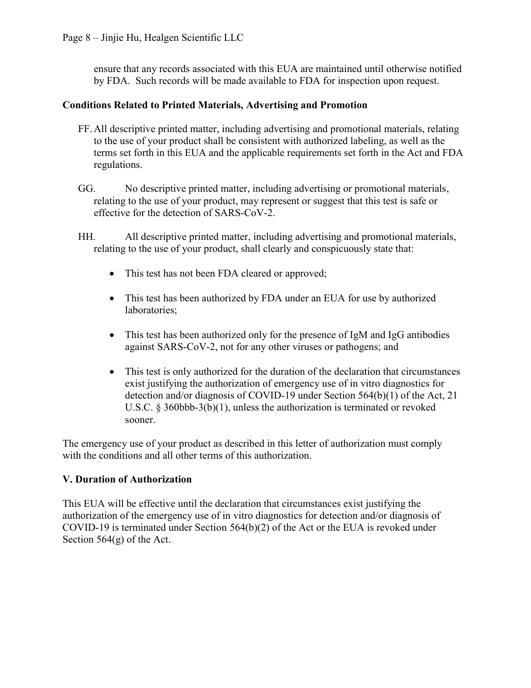ensure that any records associated with this EUA are maintained until otherwise notified by FDA. Such records will be made available to FDA for inspection upon request.

#### **Conditions Related to Printed Materials, Advertising and Promotion**

- FF.All descriptive printed matter, including advertising and promotional materials, relating to the use of your product shall be consistent with authorized labeling, as well as the terms set forth in this EUA and the applicable requirements set forth in the Act and FDA regulations.
- GG. No descriptive printed matter, including advertising or promotional materials, relating to the use of your product, may represent or suggest that this test is safe or effective for the detection of SARS-CoV-2.
- HH. All descriptive printed matter, including advertising and promotional materials, relating to the use of your product, shall clearly and conspicuously state that:
	- This test has not been FDA cleared or approved;
	- This test has been authorized by FDA under an EUA for use by authorized laboratories;
	- This test has been authorized only for the presence of IgM and IgG antibodies against SARS-CoV-2, not for any other viruses or pathogens; and
	- This test is only authorized for the duration of the declaration that circumstances exist justifying the authorization of emergency use of in vitro diagnostics for detection and/or diagnosis of COVID-19 under Section 564(b)(1) of the Act, 21 U.S.C. § 360bbb-3(b)(1), unless the authorization is terminated or revoked sooner.

The emergency use of your product as described in this letter of authorization must comply with the conditions and all other terms of this authorization.

#### **V. Duration of Authorization**

This EUA will be effective until the declaration that circumstances exist justifying the authorization of the emergency use of in vitro diagnostics for detection and/or diagnosis of COVID-19 is terminated under Section 564(b)(2) of the Act or the EUA is revoked under Section 564(g) of the Act.